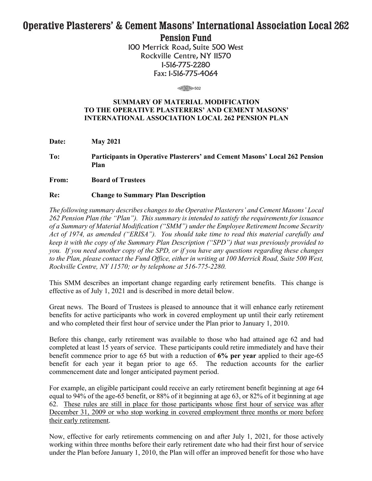## **Operative Plasterers' & Cement Masons' International Association Local 262 Pension Fund**

100 Merrick Road, Suite 500 West Rockville Centre, NY 11570 1-516-775-2280 Fax: 1-516-775-4064

 $\begin{array}{c}\n\text{3.502}\n\end{array}$ 

## **SUMMARY OF MATERIAL MODIFICATION TO THE OPERATIVE PLASTERERS' AND CEMENT MASONS' INTERNATIONAL ASSOCIATION LOCAL 262 PENSION PLAN**

**Date: May 2021**

**To: Participants in Operative Plasterers' and Cement Masons' Local 262 Pension Plan**

**From: Board of Trustees**

## **Re: Change to Summary Plan Description**

*The following summary describes changes to the Operative Plasterers' and Cement Masons' Local 262 Pension Plan (the "Plan"). This summary is intended to satisfy the requirements for issuance of a Summary of Material Modification ("SMM") under the Employee Retirement Income Security Act of 1974, as amended ("ERISA"). You should take time to read this material carefully and keep it with the copy of the Summary Plan Description ("SPD") that was previously provided to you. If you need another copy of the SPD, or if you have any questions regarding these changes to the Plan, please contact the Fund Office, either in writing at 100 Merrick Road, Suite 500 West, Rockville Centre, NY 11570; or by telephone at 516-775-2280.*

This SMM describes an important change regarding early retirement benefits. This change is effective as of July 1, 2021 and is described in more detail below.

Great news. The Board of Trustees is pleased to announce that it will enhance early retirement benefits for active participants who work in covered employment up until their early retirement and who completed their first hour of service under the Plan prior to January 1, 2010.

Before this change, early retirement was available to those who had attained age 62 and had completed at least 15 years of service. These participants could retire immediately and have their benefit commence prior to age 65 but with a reduction of **6% per year** applied to their age-65 benefit for each year it began prior to age 65. The reduction accounts for the earlier commencement date and longer anticipated payment period.

For example, an eligible participant could receive an early retirement benefit beginning at age 64 equal to 94% of the age-65 benefit, or 88% of it beginning at age 63, or 82% of it beginning at age 62. These rules are still in place for those participants whose first hour of service was after December 31, 2009 or who stop working in covered employment three months or more before their early retirement.

Now, effective for early retirements commencing on and after July 1, 2021, for those actively working within three months before their early retirement date who had their first hour of service under the Plan before January 1, 2010, the Plan will offer an improved benefit for those who have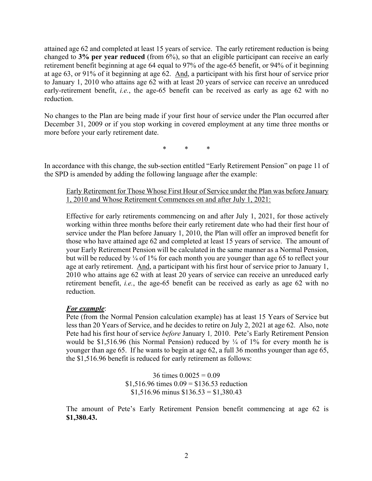attained age 62 and completed at least 15 years of service. The early retirement reduction is being changed to **3% per year reduced** (from 6%), so that an eligible participant can receive an early retirement benefit beginning at age 64 equal to 97% of the age-65 benefit, or 94% of it beginning at age 63, or 91% of it beginning at age 62. And, a participant with his first hour of service prior to January 1, 2010 who attains age 62 with at least 20 years of service can receive an unreduced early-retirement benefit, *i.e.*, the age-65 benefit can be received as early as age 62 with no reduction.

No changes to the Plan are being made if your first hour of service under the Plan occurred after December 31, 2009 or if you stop working in covered employment at any time three months or more before your early retirement date.

\* \* \*

In accordance with this change, the sub-section entitled "Early Retirement Pension" on page 11 of the SPD is amended by adding the following language after the example:

Early Retirement for Those Whose First Hour of Service under the Plan was before January 1, 2010 and Whose Retirement Commences on and after July 1, 2021:

Effective for early retirements commencing on and after July 1, 2021, for those actively working within three months before their early retirement date who had their first hour of service under the Plan before January 1, 2010, the Plan will offer an improved benefit for those who have attained age 62 and completed at least 15 years of service. The amount of your Early Retirement Pension will be calculated in the same manner as a Normal Pension, but will be reduced by  $\frac{1}{4}$  of 1% for each month you are younger than age 65 to reflect your age at early retirement. And, a participant with his first hour of service prior to January 1, 2010 who attains age 62 with at least 20 years of service can receive an unreduced early retirement benefit, *i.e.*, the age-65 benefit can be received as early as age 62 with no reduction.

## *For example*:

Pete (from the Normal Pension calculation example) has at least 15 Years of Service but less than 20 Years of Service, and he decides to retire on July 2, 2021 at age 62. Also, note Pete had his first hour of service *before* January 1*,* 2010. Pete's Early Retirement Pension would be \$1,516.96 (his Normal Pension) reduced by  $\frac{1}{4}$  of 1% for every month he is younger than age 65. If he wants to begin at age 62, a full 36 months younger than age 65, the \$1,516.96 benefit is reduced for early retirement as follows:

> 36 times  $0.0025 = 0.09$  $$1,516.96$  times  $0.09 = $136.53$  reduction  $$1,516.96$  minus  $$136.53 = $1,380.43$

The amount of Pete's Early Retirement Pension benefit commencing at age 62 is **\$1,380.43.**